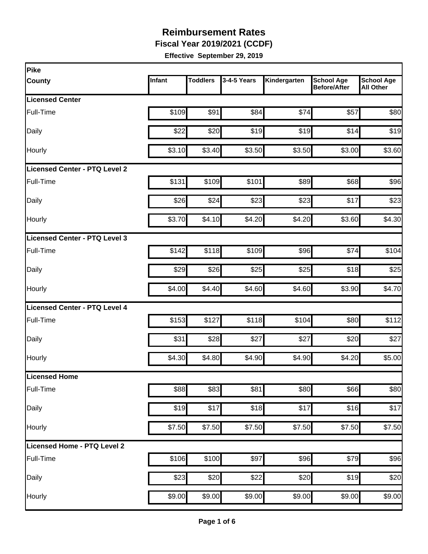**Fiscal Year 2019/2021 (CCDF)** 

| Pike                                 |               |                 |               |              |                                          |                                       |
|--------------------------------------|---------------|-----------------|---------------|--------------|------------------------------------------|---------------------------------------|
| <b>County</b>                        | <b>Infant</b> | <b>Toddlers</b> | $3-4-5$ Years | Kindergarten | <b>School Age</b><br><b>Before/After</b> | <b>School Age</b><br><b>All Other</b> |
| <b>Licensed Center</b>               |               |                 |               |              |                                          |                                       |
| Full-Time                            | \$109         | \$91            | \$84          | \$74         | \$57                                     | \$80                                  |
| Daily                                | \$22          | \$20            | \$19          | \$19         | \$14                                     | \$19                                  |
| Hourly                               | \$3.10        | \$3.40          | \$3.50        | \$3.50       | \$3.00                                   | \$3.60                                |
| Licensed Center - PTQ Level 2        |               |                 |               |              |                                          |                                       |
| Full-Time                            | \$131         | \$109           | \$101         | \$89         | \$68                                     | \$96                                  |
| Daily                                | \$26          | \$24            | \$23          | \$23         | \$17                                     | \$23                                  |
| <b>Hourly</b>                        | \$3.70        | \$4.10          | \$4.20        | \$4.20       | \$3.60                                   | \$4.30                                |
| Licensed Center - PTQ Level 3        |               |                 |               |              |                                          |                                       |
| Full-Time                            | \$142         | \$118           | \$109         | \$96         | \$74                                     | \$104                                 |
| Daily                                | \$29          | \$26            | \$25          | \$25         | \$18                                     | \$25                                  |
| Hourly                               | \$4.00        | \$4.40          | \$4.60        | \$4.60       | \$3.90                                   | \$4.70                                |
| <b>Licensed Center - PTQ Level 4</b> |               |                 |               |              |                                          |                                       |
| Full-Time                            | \$153         | \$127           | \$118         | \$104        | \$80                                     | \$112                                 |
| Daily                                | \$31          | \$28            | \$27          | \$27         | \$20                                     | \$27                                  |
| Hourly                               | \$4.30        | \$4.80          | \$4.90        | \$4.90       | \$4.20                                   | \$5.00                                |
| Licensed Home                        |               |                 |               |              |                                          |                                       |
| Full-Time                            | \$88          | \$83            | \$81          | \$80         | \$66                                     | \$80                                  |
| Daily                                | \$19          | \$17            | \$18          | \$17         | \$16                                     | \$17                                  |
| Hourly                               | \$7.50        | \$7.50          | \$7.50        | \$7.50       | \$7.50                                   | \$7.50                                |
| Licensed Home - PTQ Level 2          |               |                 |               |              |                                          |                                       |
| Full-Time                            | \$106         | \$100           | \$97          | \$96         | \$79                                     | \$96                                  |
| Daily                                | \$23          | \$20            | \$22          | \$20         | \$19                                     | \$20                                  |
| Hourly                               | \$9.00        | \$9.00          | \$9.00        | \$9.00       | \$9.00                                   | \$9.00                                |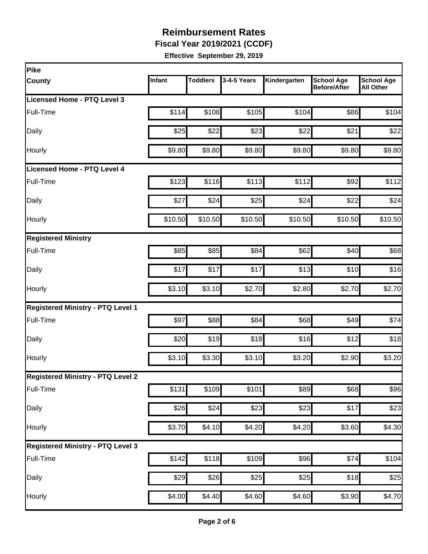**Fiscal Year 2019/2021 (CCDF)** 

| Pike                                     |         |                 |                  |                    |                                          |                                       |
|------------------------------------------|---------|-----------------|------------------|--------------------|------------------------------------------|---------------------------------------|
| <b>County</b>                            | Infant  | <b>Toddlers</b> | 3-4-5 Years      | Kindergarten       | <b>School Age</b><br><b>Before/After</b> | <b>School Age</b><br><b>All Other</b> |
| Licensed Home - PTQ Level 3              |         |                 |                  |                    |                                          |                                       |
| Full-Time                                | \$114   | \$108           | \$105            | \$104              | \$86                                     | \$104                                 |
| Daily                                    | \$25    | \$22            | \$23             | \$22               | \$21                                     | \$22                                  |
| Hourly                                   | \$9.80  | \$9.80          | \$9.80           | \$9.80             | \$9.80                                   | \$9.80                                |
| Licensed Home - PTQ Level 4              |         |                 |                  |                    |                                          |                                       |
| Full-Time                                | \$123   | \$116           | \$113            | \$112              | \$92                                     | \$112                                 |
| Daily                                    | \$27    | \$24            | \$25             | \$24               | \$22                                     | \$24                                  |
| Hourly                                   | \$10.50 | \$10.50         | \$10.50          | \$10.50            | \$10.50                                  | \$10.50                               |
| <b>Registered Ministry</b>               |         |                 |                  |                    |                                          |                                       |
| Full-Time                                | \$85    | \$85            | \$84             | \$62               | \$40                                     | \$68                                  |
| Daily                                    | \$17    | \$17            | \$17             | \$13               | \$10                                     | \$16                                  |
| Hourly                                   | \$3.10  | \$3.10          | \$2.70           | \$2.80             | \$2.70                                   | \$2.70                                |
| <b>Registered Ministry - PTQ Level 1</b> |         |                 |                  |                    |                                          |                                       |
| Full-Time                                | \$97    | \$88            | \$84             | \$68               | \$49                                     | \$74                                  |
| Daily                                    | \$20    | \$19            | \$18             | \$16               | \$12                                     | \$18                                  |
| Hourly                                   | \$3.10  | \$3.30          | \$3.10           | \$3.20             | \$2.90                                   | \$3.20                                |
| <b>Registered Ministry - PTQ Level 2</b> |         |                 |                  |                    |                                          |                                       |
| Full-Time                                | \$131   | \$109           | \$101            | \$89               | \$68                                     | \$96                                  |
| Daily                                    | \$26    | \$24            | $\overline{$}23$ | \$23               | \$17                                     | \$23                                  |
| Hourly                                   | \$3.70  | \$4.10          | \$4.20           | \$4.20             | \$3.60                                   | \$4.30                                |
| <b>Registered Ministry - PTQ Level 3</b> |         |                 |                  |                    |                                          |                                       |
| Full-Time                                | \$142   | \$118           | \$109            | \$96               | \$74                                     | \$104                                 |
| Daily                                    | \$29    | \$26            | \$25             | \$25               | \$18                                     | \$25                                  |
| Hourly                                   | \$4.00  | \$4.40          | \$4.60           | $\overline{$4.60}$ | \$3.90                                   | \$4.70                                |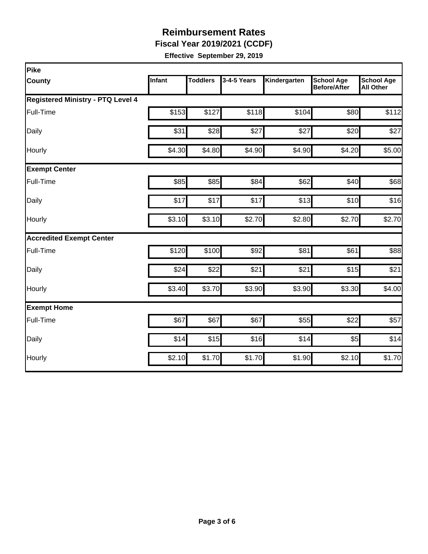**Fiscal Year 2019/2021 (CCDF)** 

| Pike                                     |        |                 |             |              |                                          |                                       |
|------------------------------------------|--------|-----------------|-------------|--------------|------------------------------------------|---------------------------------------|
| <b>County</b>                            | Infant | <b>Toddlers</b> | 3-4-5 Years | Kindergarten | <b>School Age</b><br><b>Before/After</b> | <b>School Age</b><br><b>All Other</b> |
| <b>Registered Ministry - PTQ Level 4</b> |        |                 |             |              |                                          |                                       |
| Full-Time                                | \$153  | \$127           | \$118       | \$104        | \$80                                     | \$112                                 |
| Daily                                    | \$31   | \$28            | \$27        | \$27         | \$20                                     | \$27                                  |
| Hourly                                   | \$4.30 | \$4.80          | \$4.90      | \$4.90       | \$4.20                                   | \$5.00                                |
| <b>Exempt Center</b>                     |        |                 |             |              |                                          |                                       |
| Full-Time                                | \$85   | \$85            | \$84        | \$62         | \$40                                     | \$68                                  |
| Daily                                    | \$17   | \$17            | \$17        | \$13         | \$10                                     | \$16                                  |
| Hourly                                   | \$3.10 | \$3.10          | \$2.70      | \$2.80       | \$2.70                                   | \$2.70                                |
| <b>Accredited Exempt Center</b>          |        |                 |             |              |                                          |                                       |
| Full-Time                                | \$120  | \$100           | \$92        | \$81         | \$61                                     | \$88                                  |
| Daily                                    | \$24   | \$22            | \$21        | \$21         | \$15                                     | \$21                                  |
| Hourly                                   | \$3.40 | \$3.70          | \$3.90      | \$3.90       | \$3.30                                   | \$4.00                                |
| <b>Exempt Home</b>                       |        |                 |             |              |                                          |                                       |
| Full-Time                                | \$67   | \$67            | \$67        | \$55         | \$22                                     | \$57                                  |
| Daily                                    | \$14   | \$15            | \$16        | \$14         | \$5                                      | \$14                                  |
| Hourly                                   | \$2.10 | \$1.70          | \$1.70      | \$1.90       | \$2.10                                   | \$1.70                                |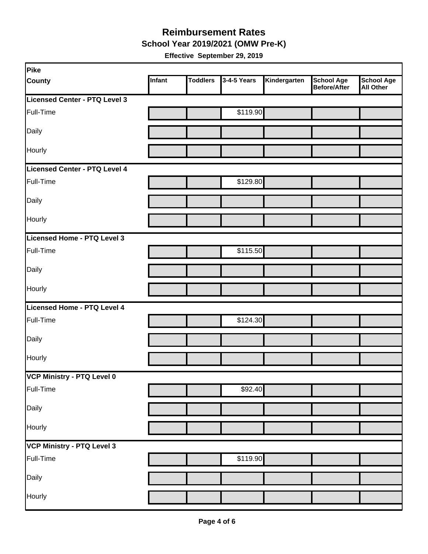**School Year 2019/2021 (OMW Pre-K)** 

| Pike                          |        |                 |             |              |                            |                         |
|-------------------------------|--------|-----------------|-------------|--------------|----------------------------|-------------------------|
| <b>County</b>                 | Infant | <b>Toddlers</b> | 3-4-5 Years | Kindergarten | School Age<br>Before/After | School Age<br>All Other |
| Licensed Center - PTQ Level 3 |        |                 |             |              |                            |                         |
| Full-Time                     |        |                 | \$119.90    |              |                            |                         |
| Daily                         |        |                 |             |              |                            |                         |
| Hourly                        |        |                 |             |              |                            |                         |
| Licensed Center - PTQ Level 4 |        |                 |             |              |                            |                         |
| Full-Time                     |        |                 | \$129.80    |              |                            |                         |
| Daily                         |        |                 |             |              |                            |                         |
| Hourly                        |        |                 |             |              |                            |                         |
| Licensed Home - PTQ Level 3   |        |                 |             |              |                            |                         |
| Full-Time                     |        |                 | \$115.50    |              |                            |                         |
| Daily                         |        |                 |             |              |                            |                         |
| Hourly                        |        |                 |             |              |                            |                         |
| Licensed Home - PTQ Level 4   |        |                 |             |              |                            |                         |
| Full-Time                     |        |                 | \$124.30    |              |                            |                         |
| Daily                         |        |                 |             |              |                            |                         |
| Hourly                        |        |                 |             |              |                            |                         |
| VCP Ministry - PTQ Level 0    |        |                 |             |              |                            |                         |
| Full-Time                     |        |                 | \$92.40     |              |                            |                         |
| Daily                         |        |                 |             |              |                            |                         |
| Hourly                        |        |                 |             |              |                            |                         |
| VCP Ministry - PTQ Level 3    |        |                 |             |              |                            |                         |
| Full-Time                     |        |                 | \$119.90    |              |                            |                         |
| Daily                         |        |                 |             |              |                            |                         |
| Hourly                        |        |                 |             |              |                            |                         |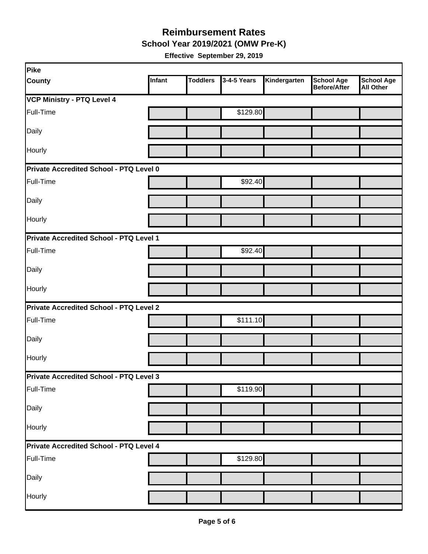**School Year 2019/2021 (OMW Pre-K)** 

| Pike                                           |        |                 |             |              |                                   |                                       |
|------------------------------------------------|--------|-----------------|-------------|--------------|-----------------------------------|---------------------------------------|
| <b>County</b>                                  | Infant | <b>Toddlers</b> | 3-4-5 Years | Kindergarten | <b>School Age</b><br>Before/After | <b>School Age</b><br><b>All Other</b> |
| <b>VCP Ministry - PTQ Level 4</b>              |        |                 |             |              |                                   |                                       |
| Full-Time                                      |        |                 | \$129.80    |              |                                   |                                       |
| Daily                                          |        |                 |             |              |                                   |                                       |
| Hourly                                         |        |                 |             |              |                                   |                                       |
| Private Accredited School - PTQ Level 0        |        |                 |             |              |                                   |                                       |
| Full-Time                                      |        |                 | \$92.40     |              |                                   |                                       |
| Daily                                          |        |                 |             |              |                                   |                                       |
| Hourly                                         |        |                 |             |              |                                   |                                       |
| Private Accredited School - PTQ Level 1        |        |                 |             |              |                                   |                                       |
| Full-Time                                      |        |                 | \$92.40     |              |                                   |                                       |
| Daily                                          |        |                 |             |              |                                   |                                       |
| Hourly                                         |        |                 |             |              |                                   |                                       |
| <b>Private Accredited School - PTQ Level 2</b> |        |                 |             |              |                                   |                                       |
| Full-Time                                      |        |                 | \$111.10    |              |                                   |                                       |
| Daily                                          |        |                 |             |              |                                   |                                       |
| Hourly                                         |        |                 |             |              |                                   |                                       |
| Private Accredited School - PTQ Level 3        |        |                 |             |              |                                   |                                       |
| Full-Time                                      |        |                 | \$119.90    |              |                                   |                                       |
| Daily                                          |        |                 |             |              |                                   |                                       |
| Hourly                                         |        |                 |             |              |                                   |                                       |
| Private Accredited School - PTQ Level 4        |        |                 |             |              |                                   |                                       |
| Full-Time                                      |        |                 | \$129.80    |              |                                   |                                       |
| Daily                                          |        |                 |             |              |                                   |                                       |
| Hourly                                         |        |                 |             |              |                                   |                                       |